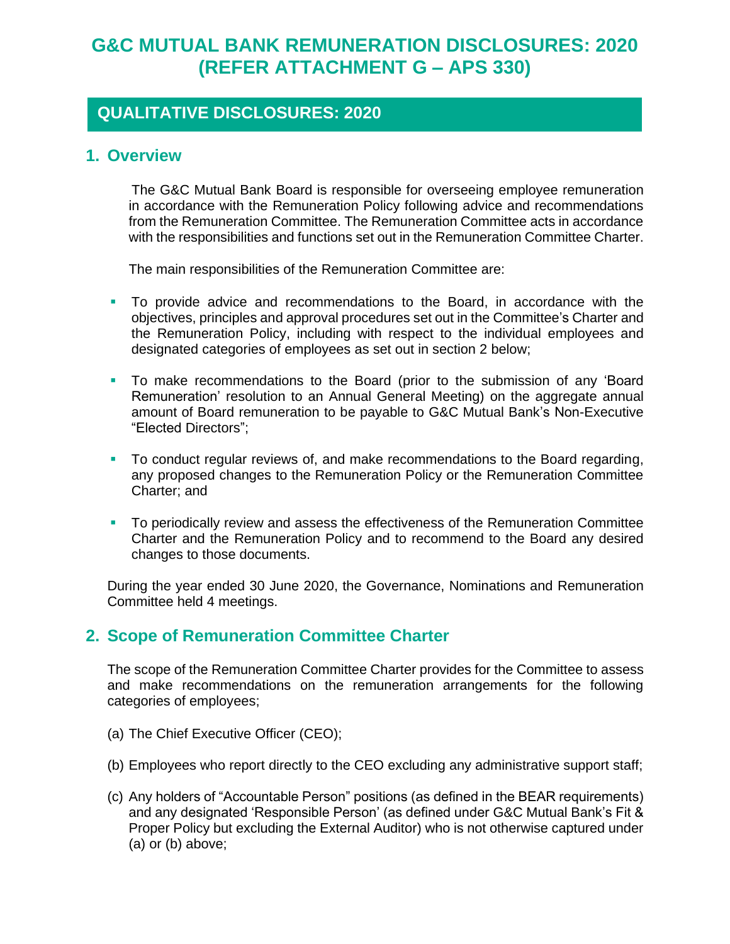# **G&C MUTUAL BANK REMUNERATION DISCLOSURES: 2020 (REFER ATTACHMENT G – APS 330)**

# **QUALITATIVE DISCLOSURES: 2020**

#### **1. Overview**

 The G&C Mutual Bank Board is responsible for overseeing employee remuneration in accordance with the Remuneration Policy following advice and recommendations from the Remuneration Committee. The Remuneration Committee acts in accordance with the responsibilities and functions set out in the Remuneration Committee Charter.

The main responsibilities of the Remuneration Committee are:

- To provide advice and recommendations to the Board, in accordance with the objectives, principles and approval procedures set out in the Committee's Charter and the Remuneration Policy, including with respect to the individual employees and designated categories of employees as set out in section 2 below;
- To make recommendations to the Board (prior to the submission of any 'Board Remuneration' resolution to an Annual General Meeting) on the aggregate annual amount of Board remuneration to be payable to G&C Mutual Bank's Non-Executive "Elected Directors";
- To conduct regular reviews of, and make recommendations to the Board regarding, any proposed changes to the Remuneration Policy or the Remuneration Committee Charter; and
- To periodically review and assess the effectiveness of the Remuneration Committee Charter and the Remuneration Policy and to recommend to the Board any desired changes to those documents.

During the year ended 30 June 2020, the Governance, Nominations and Remuneration Committee held 4 meetings.

### **2. Scope of Remuneration Committee Charter**

The scope of the Remuneration Committee Charter provides for the Committee to assess and make recommendations on the remuneration arrangements for the following categories of employees;

- (a) The Chief Executive Officer (CEO);
- (b) Employees who report directly to the CEO excluding any administrative support staff;
- (c) Any holders of "Accountable Person" positions (as defined in the BEAR requirements) and any designated 'Responsible Person' (as defined under G&C Mutual Bank's Fit & Proper Policy but excluding the External Auditor) who is not otherwise captured under (a) or (b) above;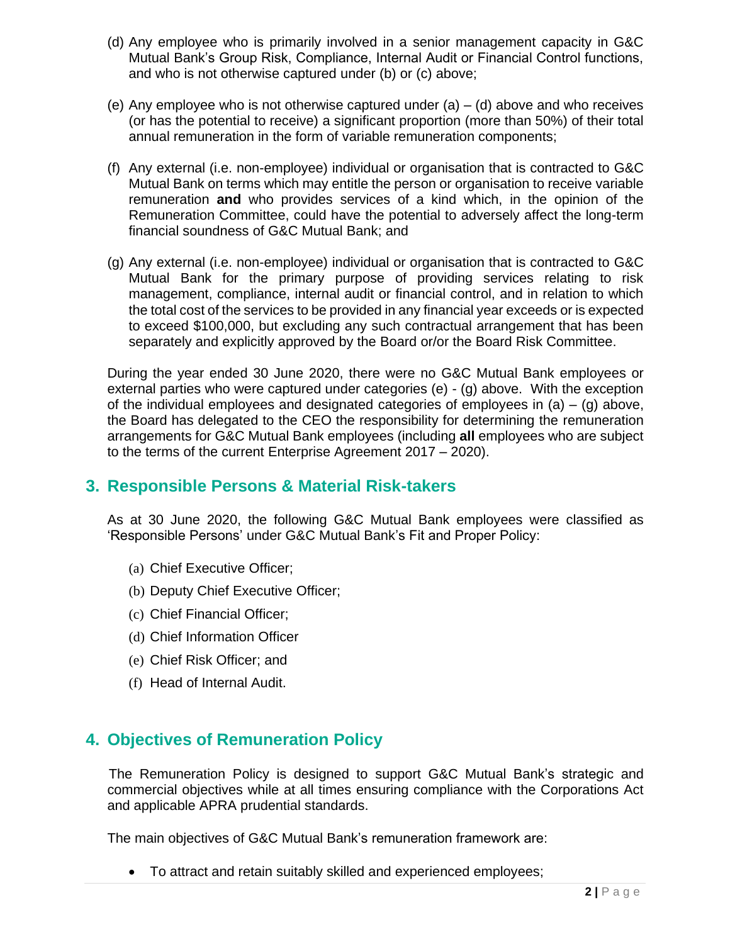- (d) Any employee who is primarily involved in a senior management capacity in G&C Mutual Bank's Group Risk, Compliance, Internal Audit or Financial Control functions, and who is not otherwise captured under (b) or (c) above;
- (e) Any employee who is not otherwise captured under  $(a) (d)$  above and who receives (or has the potential to receive) a significant proportion (more than 50%) of their total annual remuneration in the form of variable remuneration components;
- (f) Any external (i.e. non-employee) individual or organisation that is contracted to G&C Mutual Bank on terms which may entitle the person or organisation to receive variable remuneration **and** who provides services of a kind which, in the opinion of the Remuneration Committee, could have the potential to adversely affect the long-term financial soundness of G&C Mutual Bank; and
- (g) Any external (i.e. non-employee) individual or organisation that is contracted to G&C Mutual Bank for the primary purpose of providing services relating to risk management, compliance, internal audit or financial control, and in relation to which the total cost of the services to be provided in any financial year exceeds or is expected to exceed \$100,000, but excluding any such contractual arrangement that has been separately and explicitly approved by the Board or/or the Board Risk Committee.

During the year ended 30 June 2020, there were no G&C Mutual Bank employees or external parties who were captured under categories (e) - (g) above. With the exception of the individual employees and designated categories of employees in  $(a) - (q)$  above, the Board has delegated to the CEO the responsibility for determining the remuneration arrangements for G&C Mutual Bank employees (including **all** employees who are subject to the terms of the current Enterprise Agreement 2017 – 2020).

### **3. Responsible Persons & Material Risk-takers**

As at 30 June 2020, the following G&C Mutual Bank employees were classified as 'Responsible Persons' under G&C Mutual Bank's Fit and Proper Policy:

- (a) Chief Executive Officer;
- (b) Deputy Chief Executive Officer;
- (c) Chief Financial Officer;
- (d) Chief Information Officer
- (e) Chief Risk Officer; and
- (f) Head of Internal Audit.

# **4. Objectives of Remuneration Policy**

 The Remuneration Policy is designed to support G&C Mutual Bank's strategic and commercial objectives while at all times ensuring compliance with the Corporations Act and applicable APRA prudential standards.

The main objectives of G&C Mutual Bank's remuneration framework are:

• To attract and retain suitably skilled and experienced employees;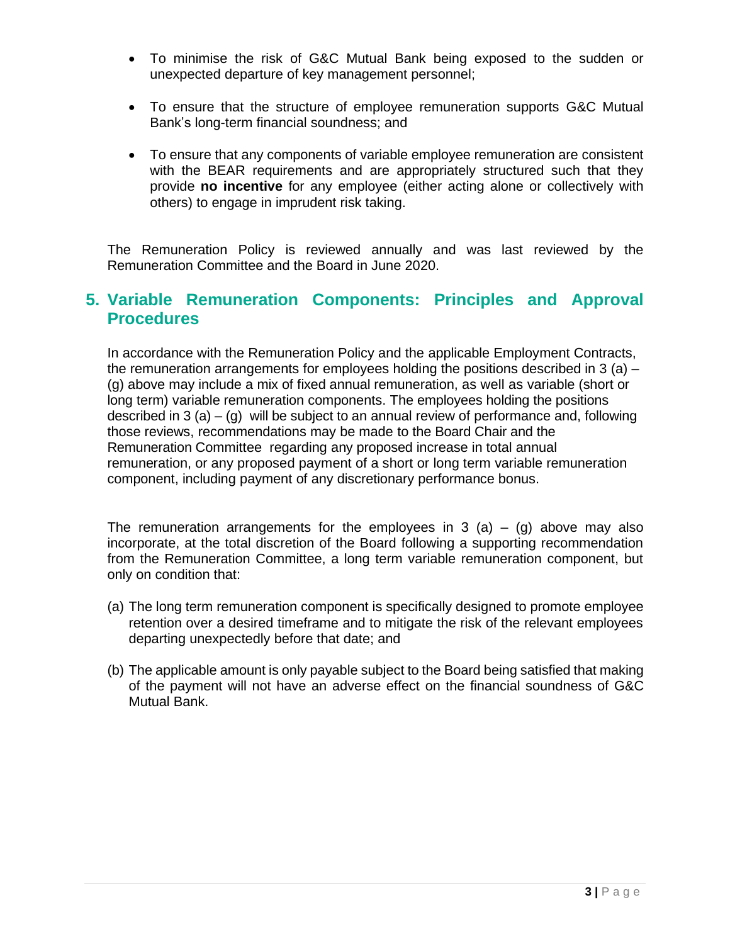- To minimise the risk of G&C Mutual Bank being exposed to the sudden or unexpected departure of key management personnel;
- To ensure that the structure of employee remuneration supports G&C Mutual Bank's long-term financial soundness; and
- To ensure that any components of variable employee remuneration are consistent with the BEAR requirements and are appropriately structured such that they provide **no incentive** for any employee (either acting alone or collectively with others) to engage in imprudent risk taking.

The Remuneration Policy is reviewed annually and was last reviewed by the Remuneration Committee and the Board in June 2020.

## **5. Variable Remuneration Components: Principles and Approval Procedures**

In accordance with the Remuneration Policy and the applicable Employment Contracts, the remuneration arrangements for employees holding the positions described in 3 (a)  $-$ (g) above may include a mix of fixed annual remuneration, as well as variable (short or long term) variable remuneration components. The employees holding the positions described in 3 (a) – (g) will be subject to an annual review of performance and, following those reviews, recommendations may be made to the Board Chair and the Remuneration Committee regarding any proposed increase in total annual remuneration, or any proposed payment of a short or long term variable remuneration component, including payment of any discretionary performance bonus.

The remuneration arrangements for the employees in 3 (a) – (g) above may also incorporate, at the total discretion of the Board following a supporting recommendation from the Remuneration Committee, a long term variable remuneration component, but only on condition that:

- (a) The long term remuneration component is specifically designed to promote employee retention over a desired timeframe and to mitigate the risk of the relevant employees departing unexpectedly before that date; and
- (b) The applicable amount is only payable subject to the Board being satisfied that making of the payment will not have an adverse effect on the financial soundness of G&C Mutual Bank.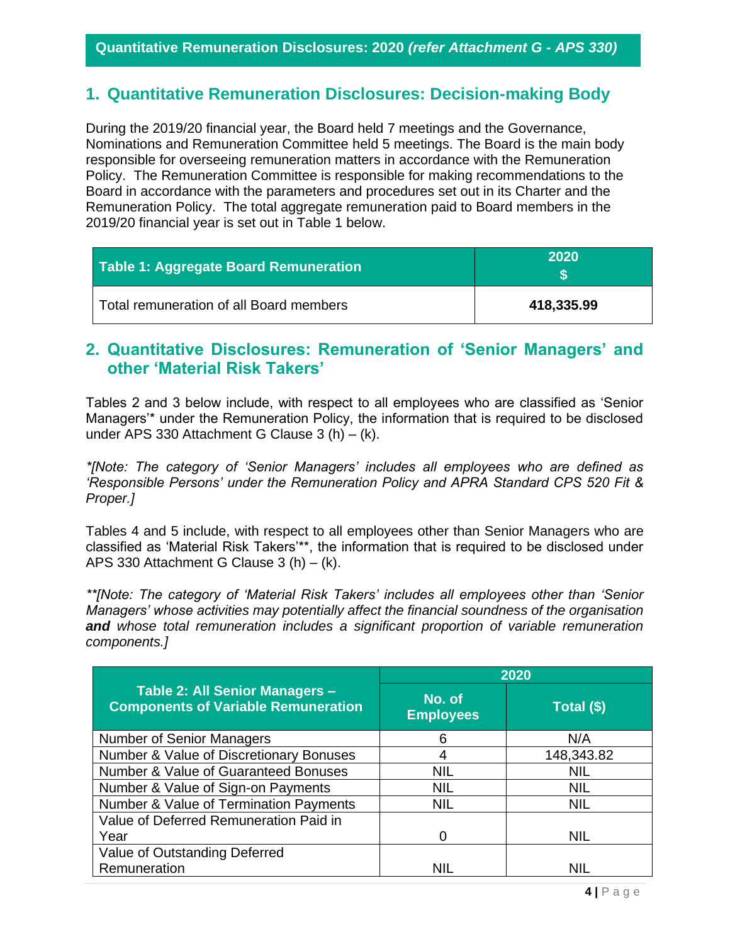## **1. Quantitative Remuneration Disclosures: Decision-making Body**

During the 2019/20 financial year, the Board held 7 meetings and the Governance, Nominations and Remuneration Committee held 5 meetings. The Board is the main body responsible for overseeing remuneration matters in accordance with the Remuneration Policy. The Remuneration Committee is responsible for making recommendations to the Board in accordance with the parameters and procedures set out in its Charter and the Remuneration Policy. The total aggregate remuneration paid to Board members in the 2019/20 financial year is set out in Table 1 below.

| Table 1: Aggregate Board Remuneration   | 2020       |
|-----------------------------------------|------------|
| Total remuneration of all Board members | 418,335.99 |

## **2. Quantitative Disclosures: Remuneration of 'Senior Managers' and other 'Material Risk Takers'**

Tables 2 and 3 below include, with respect to all employees who are classified as 'Senior Managers'\* under the Remuneration Policy, the information that is required to be disclosed under APS 330 Attachment G Clause 3 (h) – (k).

*\*[Note: The category of 'Senior Managers' includes all employees who are defined as 'Responsible Persons' under the Remuneration Policy and APRA Standard CPS 520 Fit & Proper.]*

Tables 4 and 5 include, with respect to all employees other than Senior Managers who are classified as 'Material Risk Takers'\*\*, the information that is required to be disclosed under APS 330 Attachment G Clause 3 (h) – (k).

*\*\*[Note: The category of 'Material Risk Takers' includes all employees other than 'Senior Managers' whose activities may potentially affect the financial soundness of the organisation and whose total remuneration includes a significant proportion of variable remuneration components.]*

|                                                                              | 2020                       |            |  |
|------------------------------------------------------------------------------|----------------------------|------------|--|
| Table 2: All Senior Managers -<br><b>Components of Variable Remuneration</b> | No. of<br><b>Employees</b> | Total (\$) |  |
| Number of Senior Managers                                                    | 6                          | N/A        |  |
| Number & Value of Discretionary Bonuses                                      | 4                          | 148,343.82 |  |
| Number & Value of Guaranteed Bonuses                                         | <b>NIL</b>                 | <b>NIL</b> |  |
| Number & Value of Sign-on Payments                                           | <b>NIL</b>                 | <b>NIL</b> |  |
| Number & Value of Termination Payments                                       | <b>NIL</b>                 | <b>NIL</b> |  |
| Value of Deferred Remuneration Paid in                                       |                            |            |  |
| Year                                                                         | 0                          | <b>NIL</b> |  |
| Value of Outstanding Deferred                                                |                            |            |  |
| Remuneration                                                                 | <b>NIL</b>                 | NIL        |  |